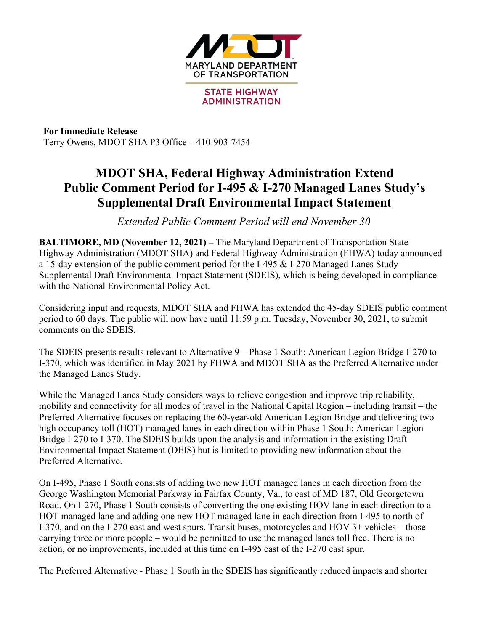

**For Immediate Release** Terry Owens, MDOT SHA P3 Office – 410-903-7454

## **MDOT SHA, Federal Highway Administration Extend Public Comment Period for I-495 & I-270 Managed Lanes Study's Supplemental Draft Environmental Impact Statement**

*Extended Public Comment Period will end November 30*

**BALTIMORE, MD (November 12, 2021) –** The Maryland Department of Transportation State Highway Administration (MDOT SHA) and Federal Highway Administration (FHWA) today announced a 15-day extension of the public comment period for the I-495 & I-270 Managed Lanes Study Supplemental Draft Environmental Impact Statement (SDEIS), which is being developed in compliance with the National Environmental Policy Act.

Considering input and requests, MDOT SHA and FHWA has extended the 45-day SDEIS public comment period to 60 days. The public will now have until 11:59 p.m. Tuesday, November 30, 2021, to submit comments on the SDEIS.

The SDEIS presents results relevant to Alternative 9 – Phase 1 South: American Legion Bridge I-270 to I-370, which was identified in May 2021 by FHWA and MDOT SHA as the Preferred Alternative under the Managed Lanes Study.

While the Managed Lanes Study considers ways to relieve congestion and improve trip reliability, mobility and connectivity for all modes of travel in the National Capital Region – including transit – the Preferred Alternative focuses on replacing the 60-year-old American Legion Bridge and delivering two high occupancy toll (HOT) managed lanes in each direction within Phase 1 South: American Legion Bridge I-270 to I-370. The SDEIS builds upon the analysis and information in the existing Draft Environmental Impact Statement (DEIS) but is limited to providing new information about the Preferred Alternative.

On I-495, Phase 1 South consists of adding two new HOT managed lanes in each direction from the George Washington Memorial Parkway in Fairfax County, Va., to east of MD 187, Old Georgetown Road. On I-270, Phase 1 South consists of converting the one existing HOV lane in each direction to a HOT managed lane and adding one new HOT managed lane in each direction from I-495 to north of I-370, and on the I-270 east and west spurs. Transit buses, motorcycles and HOV 3+ vehicles – those carrying three or more people – would be permitted to use the managed lanes toll free. There is no action, or no improvements, included at this time on I-495 east of the I-270 east spur.

The Preferred Alternative - Phase 1 South in the SDEIS has significantly reduced impacts and shorter